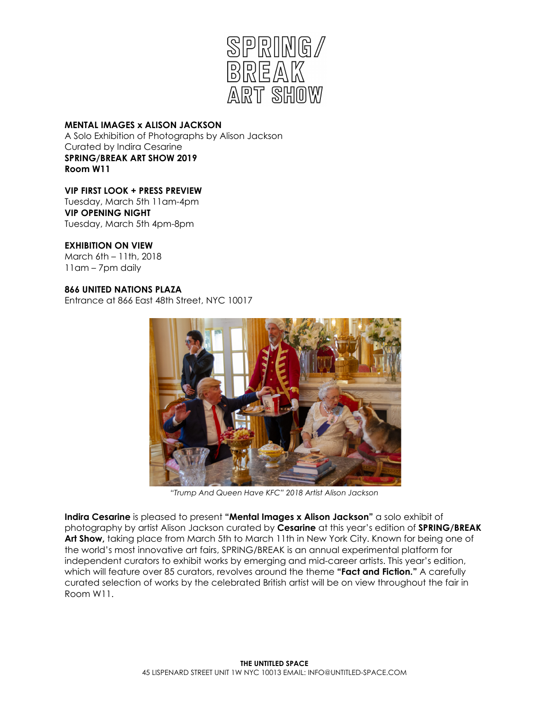

### **MENTAL IMAGES x ALISON JACKSON**

A Solo Exhibition of Photographs by Alison Jackson Curated by Indira Cesarine **SPRING/BREAK ART SHOW 2019 Room W11**

# **VIP FIRST LOOK + PRESS PREVIEW**

Tuesday, March 5th 11am-4pm **VIP OPENING NIGHT** Tuesday, March 5th 4pm-8pm

# **EXHIBITION ON VIEW**

March 6th – 11th, 2018 11am – 7pm daily

### **866 UNITED NATIONS PLAZA**

Entrance at 866 East 48th Street, NYC 10017



*"Trump And Queen Have KFC" 2018 Artist Alison Jackson*

**Indira Cesarine** is pleased to present **"Mental Images x Alison Jackson"** a solo exhibit of photography by artist Alison Jackson curated by **Cesarine** at this year's edition of **SPRING/BREAK Art Show,** taking place from March 5th to March 11th in New York City. Known for being one of the world's most innovative art fairs, SPRING/BREAK is an annual experimental platform for independent curators to exhibit works by emerging and mid-career artists. This year's edition, which will feature over 85 curators, revolves around the theme **"Fact and Fiction."** A carefully curated selection of works by the celebrated British artist will be on view throughout the fair in Room W11.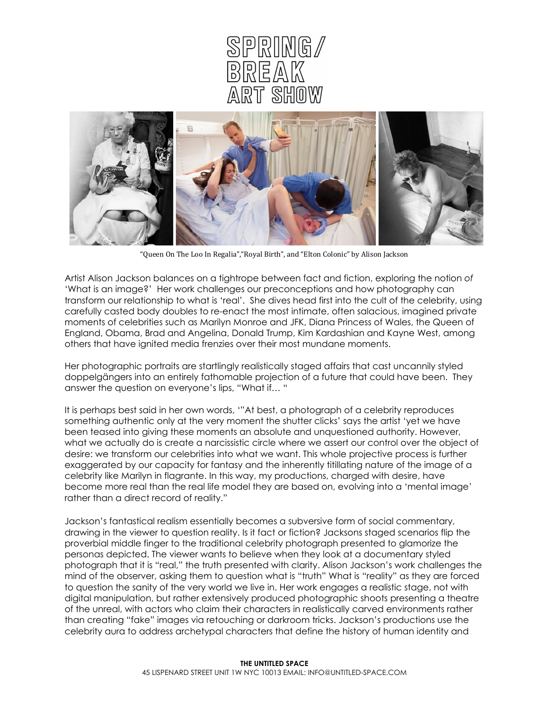



"Queen On The Loo In Regalia","Royal Birth", and "Elton Colonic" by Alison Jackson

Artist Alison Jackson balances on a tightrope between fact and fiction, exploring the notion *of* 'What is an image?' Her work challenges our preconceptions and how photography can transform our relationship to what is 'real'. She dives head first into the cult of the celebrity, using carefully casted body doubles to re-enact the most intimate, often salacious, imagined private moments of celebrities such as Marilyn Monroe and JFK, Diana Princess of Wales, the Queen of England, Obama, Brad and Angelina, Donald Trump, Kim Kardashian and Kayne West, among others that have ignited media frenzies over their most mundane moments.

Her photographic portraits are startlingly realistically staged affairs that cast uncannily styled doppelgängers into an entirely fathomable projection of a future that could have been. They answer the question on everyone's lips, "What if… "

It is perhaps best said in her own words, '"At best, a photograph of a celebrity reproduces something authentic only at the very moment the shutter clicks' says the artist 'yet we have been teased into giving these moments an absolute and unquestioned authority. However, what we actually do is create a narcissistic circle where we assert our control over the object of desire: we transform our celebrities into what we want. This whole projective process is further exaggerated by our capacity for fantasy and the inherently titillating nature of the image of a celebrity like Marilyn in flagrante. In this way, my productions, charged with desire, have become more real than the real life model they are based on, evolving into a 'mental image' rather than a direct record of reality."

Jackson's fantastical realism essentially becomes a subversive form of social commentary, drawing in the viewer to question reality. Is it fact or fiction? Jacksons staged scenarios flip the proverbial middle finger to the traditional celebrity photograph presented to glamorize the personas depicted. The viewer wants to believe when they look at a documentary styled photograph that it is "real," the truth presented with clarity. Alison Jackson's work challenges the mind of the observer, asking them to question what is "truth" What is "reality" as they are forced to question the sanity of the very world we live in. Her work engages a realistic stage, not with digital manipulation, but rather extensively produced photographic shoots presenting a theatre of the unreal, with actors who claim their characters in realistically carved environments rather than creating "fake" images via retouching or darkroom tricks. Jackson's productions use the celebrity aura to address archetypal characters that define the history of human identity and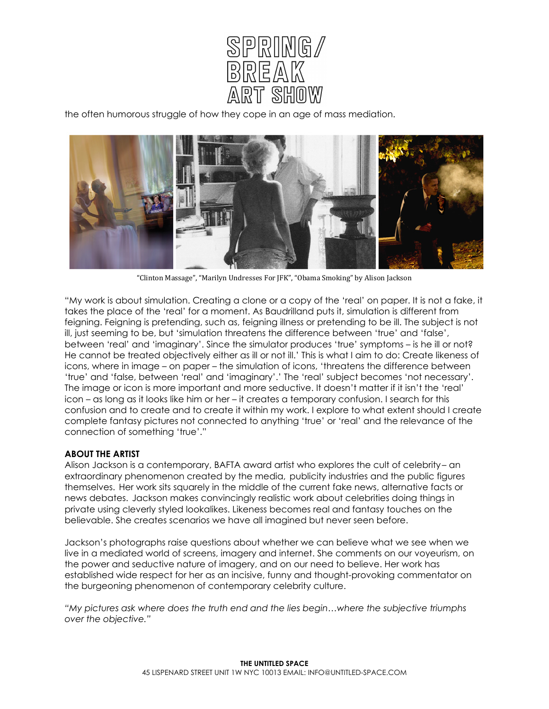

the often humorous struggle of how they cope in an age of mass mediation.



"Clinton Massage", "Marilyn Undresses For JFK", "Obama Smoking" by Alison Jackson

"My work is about simulation. Creating a clone or a copy of the 'real' on paper. It is not a fake, it takes the place of the 'real' for a moment. As Baudrilland puts it, simulation is different from feigning. Feigning is pretending, such as, feigning illness or pretending to be ill. The subject is not ill, just seeming to be, but 'simulation threatens the difference between 'true' and 'false', between 'real' and 'imaginary'. Since the simulator produces 'true' symptoms – is he ill or not? He cannot be treated objectively either as ill or not ill.' This is what I aim to do: Create likeness of icons, where in image – on paper – the simulation of icons, 'threatens the difference between 'true' and 'false, between 'real' and 'imaginary'.' The 'real' subject becomes 'not necessary'. The image or icon is more important and more seductive. It doesn't matter if it isn't the 'real' icon – as long as it looks like him or her – it creates a temporary confusion. I search for this confusion and to create and to create it within my work. I explore to what extent should I create complete fantasy pictures not connected to anything 'true' or 'real' and the relevance of the connection of something 'true'."

### **ABOUT THE ARTIST**

Alison Jackson is a contemporary, BAFTA award artist who explores the cult of celebrity – an extraordinary phenomenon created by the media, publicity industries and the public figures themselves. Her work sits squarely in the middle of the current fake news, alternative facts or news debates. Jackson makes convincingly realistic work about celebrities doing things in private using cleverly styled lookalikes. Likeness becomes real and fantasy touches on the believable. She creates scenarios we have all imagined but never seen before.

Jackson's photographs raise questions about whether we can believe what we see when we live in a mediated world of screens, imagery and internet. She comments on our voyeurism, on the power and seductive nature of imagery, and on our need to believe. Her work has established wide respect for her as an incisive, funny and thought-provoking commentator on the burgeoning phenomenon of contemporary celebrity culture.

*"My pictures ask where does the truth end and the lies begin…where the subjective triumphs over the objective."*